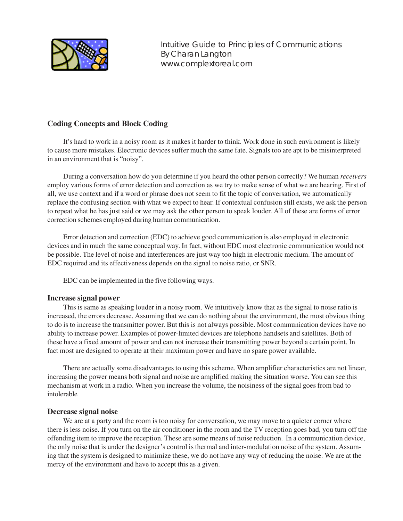

Intuitive Guide to Principles of Communications By Charan Langton www.complextoreal.com

# **Coding Concepts and Block Coding**

It's hard to work in a noisy room as it makes it harder to think. Work done in such environment is likely to cause more mistakes. Electronic devices suffer much the same fate. Signals too are apt to be misinterpreted in an environment that is "noisy".

During a conversation how do you determine if you heard the other person correctly? We human *receivers* employ various forms of error detection and correction as we try to make sense of what we are hearing. First of all, we use context and if a word or phrase does not seem to fit the topic of conversation, we automatically replace the confusing section with what we expect to hear. If contextual confusion still exists, we ask the person to repeat what he has just said or we may ask the other person to speak louder. All of these are forms of error correction schemes employed during human communication.

Error detection and correction (EDC) to achieve good communication is also employed in electronic devices and in much the same conceptual way. In fact, without EDC most electronic communication would not be possible. The level of noise and interferences are just way too high in electronic medium. The amount of EDC required and its effectiveness depends on the signal to noise ratio, or SNR.

EDC can be implemented in the five following ways.

# **Increase signal power**

This is same as speaking louder in a noisy room. We intuitively know that as the signal to noise ratio is increased, the errors decrease. Assuming that we can do nothing about the environment, the most obvious thing to do is to increase the transmitter power. But this is not always possible. Most communication devices have no ability to increase power. Examples of power-limited devices are telephone handsets and satellites. Both of these have a fixed amount of power and can not increase their transmitting power beyond a certain point. In fact most are designed to operate at their maximum power and have no spare power available.

There are actually some disadvantages to using this scheme. When amplifier characteristics are not linear, increasing the power means both signal and noise are amplified making the situation worse. You can see this mechanism at work in a radio. When you increase the volume, the noisiness of the signal goes from bad to intolerable

## **Decrease signal noise**

We are at a party and the room is too noisy for conversation, we may move to a quieter corner where there is less noise. If you turn on the air conditioner in the room and the TV reception goes bad, you turn off the offending item to improve the reception. These are some means of noise reduction. In a communication device, the only noise that is under the designer's control is thermal and inter-modulation noise of the system. Assuming that the system is designed to minimize these, we do not have any way of reducing the noise. We are at the mercy of the environment and have to accept this as a given.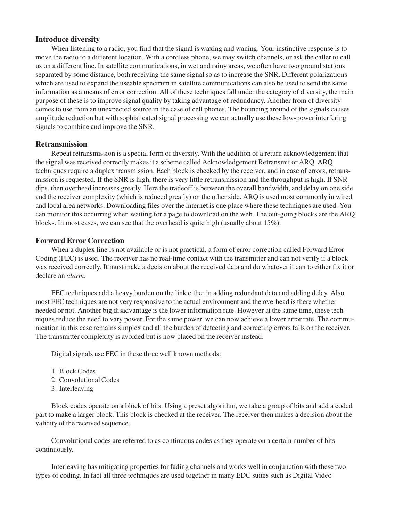## **Introduce diversity**

When listening to a radio, you find that the signal is waxing and waning. Your instinctive response is to move the radio to a different location. With a cordless phone, we may switch channels, or ask the caller to call us on a different line. In satellite communications, in wet and rainy areas, we often have two ground stations separated by some distance, both receiving the same signal so as to increase the SNR. Different polarizations which are used to expand the useable spectrum in satellite communications can also be used to send the same information as a means of error correction. All of these techniques fall under the category of diversity, the main purpose of these is to improve signal quality by taking advantage of redundancy. Another from of diversity comes to use from an unexpected source in the case of cell phones. The bouncing around of the signals causes amplitude reduction but with sophisticated signal processing we can actually use these low-power interfering signals to combine and improve the SNR.

## **Retransmission**

Repeat retransmission is a special form of diversity. With the addition of a return acknowledgement that the signal was received correctly makes it a scheme called Acknowledgement Retransmit or ARQ. ARQ techniques require a duplex transmission. Each block is checked by the receiver, and in case of errors, retransmission is requested. If the SNR is high, there is very little retransmission and the throughput is high. If SNR dips, then overhead increases greatly. Here the tradeoff is between the overall bandwidth, and delay on one side and the receiver complexity (which is reduced greatly) on the other side. ARQ is used most commonly in wired and local area networks. Downloading files over the internet is one place where these techniques are used. You can monitor this occurring when waiting for a page to download on the web. The out-going blocks are the ARQ blocks. In most cases, we can see that the overhead is quite high (usually about 15%).

## **Forward Error Correction**

When a duplex line is not available or is not practical, a form of error correction called Forward Error Coding (FEC) is used. The receiver has no real-time contact with the transmitter and can not verify if a block was received correctly. It must make a decision about the received data and do whatever it can to either fix it or declare an *alarm*.

FEC techniques add a heavy burden on the link either in adding redundant data and adding delay. Also most FEC techniques are not very responsive to the actual environment and the overhead is there whether needed or not. Another big disadvantage is the lower information rate. However at the same time, these techniques reduce the need to vary power. For the same power, we can now achieve a lower error rate. The communication in this case remains simplex and all the burden of detecting and correcting errors falls on the receiver. The transmitter complexity is avoided but is now placed on the receiver instead.

Digital signals use FEC in these three well known methods:

- 1. Block Codes
- 2. Convolutional Codes
- 3. Interleaving

Block codes operate on a block of bits. Using a preset algorithm, we take a group of bits and add a coded part to make a larger block. This block is checked at the receiver. The receiver then makes a decision about the validity of the received sequence.

Convolutional codes are referred to as continuous codes as they operate on a certain number of bits continuously.

Interleaving has mitigating properties for fading channels and works well in conjunction with these two types of coding. In fact all three techniques are used together in many EDC suites such as Digital Video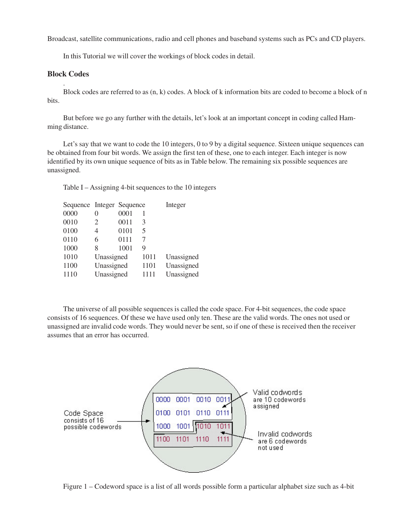Broadcast, satellite communications, radio and cell phones and baseband systems such as PCs and CD players.

In this Tutorial we will cover the workings of block codes in detail.

# **Block Codes** .

Block codes are referred to as (n, k) codes. A block of k information bits are coded to become a block of n bits.

But before we go any further with the details, let's look at an important concept in coding called Hamming distance.

Let's say that we want to code the 10 integers, 0 to 9 by a digital sequence. Sixteen unique sequences can be obtained from four bit words. We assign the first ten of these, one to each integer. Each integer is now identified by its own unique sequence of bits as in Table below. The remaining six possible sequences are unassigned.

Table I – Assigning 4-bit sequences to the 10 integers

| Sequence Integer Sequence |            |      |      | Integer    |
|---------------------------|------------|------|------|------------|
| 0000                      | 0          | 0001 | 1    |            |
| 0010                      | 2          | 0011 | 3    |            |
| 0100                      | 4          | 0101 | 5    |            |
| 0110                      | 6          | 0111 | 7    |            |
| 1000                      | 8          | 1001 | 9    |            |
| 1010                      | Unassigned |      | 1011 | Unassigned |
| 1100                      | Unassigned |      | 1101 | Unassigned |
| 1110                      | Unassigned |      | 1111 | Unassigned |

The universe of all possible sequences is called the code space. For 4-bit sequences, the code space consists of 16 sequences. Of these we have used only ten. These are the valid words. The ones not used or unassigned are invalid code words. They would never be sent, so if one of these is received then the receiver assumes that an error has occurred.



Figure 1 – Codeword space is a list of all words possible form a particular alphabet size such as 4-bit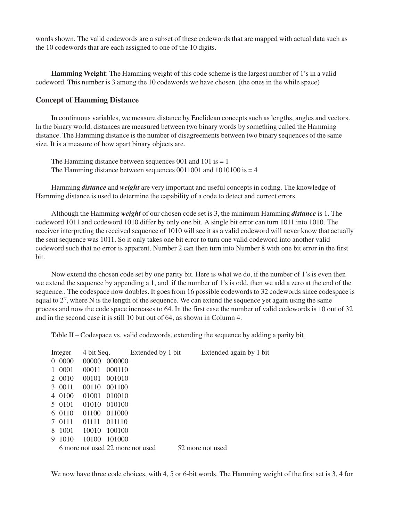words shown. The valid codewords are a subset of these codewords that are mapped with actual data such as the 10 codewords that are each assigned to one of the 10 digits.

**Hamming Weight**: The Hamming weight of this code scheme is the largest number of 1's in a valid codeword. This number is 3 among the 10 codewords we have chosen. (the ones in the while space)

#### **Concept of Hamming Distance**

In continuous variables, we measure distance by Euclidean concepts such as lengths, angles and vectors. In the binary world, distances are measured between two binary words by something called the Hamming distance. The Hamming distance is the number of disagreements between two binary sequences of the same size. It is a measure of how apart binary objects are.

The Hamming distance between sequences 001 and 101 is  $= 1$ The Hamming distance between sequences  $0011001$  and  $1010100$  is  $=$  4

Hamming *distance* and *weight* are very important and useful concepts in coding. The knowledge of Hamming distance is used to determine the capability of a code to detect and correct errors.

Although the Hamming *weight* of our chosen code set is 3, the minimum Hamming *distance* is 1. The codeword 1011 and codeword 1010 differ by only one bit. A single bit error can turn 1011 into 1010. The receiver interpreting the received sequence of 1010 will see it as a valid codeword will never know that actually the sent sequence was 1011. So it only takes one bit error to turn one valid codeword into another valid codeword such that no error is apparent. Number 2 can then turn into Number 8 with one bit error in the first bit.

Now extend the chosen code set by one parity bit. Here is what we do, if the number of 1's is even then we extend the sequence by appending a 1, and if the number of 1's is odd, then we add a zero at the end of the sequence.. The codespace now doubles. It goes from 16 possible codewords to 32 codewords since codespace is equal to  $2<sup>N</sup>$ , where N is the length of the sequence. We can extend the sequence yet again using the same process and now the code space increases to 64. In the first case the number of valid codewords is 10 out of 32 and in the second case it is still 10 but out of 64, as shown in Column 4.

Table II – Codespace vs. valid codewords, extending the sequence by adding a parity bit

|      |                                                                                                                   |        |            |                                            | Extended again by 1 bit |
|------|-------------------------------------------------------------------------------------------------------------------|--------|------------|--------------------------------------------|-------------------------|
|      | 00000                                                                                                             | 000000 |            |                                            |                         |
| 0001 | 00011                                                                                                             | 000110 |            |                                            |                         |
|      | 00101                                                                                                             | 001010 |            |                                            |                         |
|      | 00110                                                                                                             | 001100 |            |                                            |                         |
|      | 01001                                                                                                             | 010010 |            |                                            |                         |
|      | 01010                                                                                                             | 010100 |            |                                            |                         |
|      | 01100                                                                                                             | 011000 |            |                                            |                         |
|      | 01111                                                                                                             | 011110 |            |                                            |                         |
|      | 10010                                                                                                             |        |            |                                            |                         |
| 1010 | 10100                                                                                                             | 101000 |            |                                            |                         |
|      |                                                                                                                   |        |            |                                            | 52 more not used        |
| 9    | Integer<br>0000<br>$\Omega$<br>$\mathbf{1}$<br>2 0010<br>3 0011<br>4 0100<br>5 0101<br>6 0110<br>7 0111<br>8 1001 |        | 4 bit Seq. | 100100<br>6 more not used 22 more not used | Extended by 1 bit       |

We now have three code choices, with 4, 5 or 6-bit words. The Hamming weight of the first set is 3, 4 for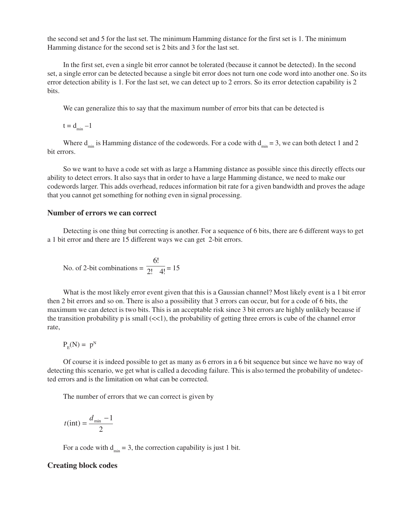the second set and 5 for the last set. The minimum Hamming distance for the first set is 1. The minimum Hamming distance for the second set is 2 bits and 3 for the last set.

In the first set, even a single bit error cannot be tolerated (because it cannot be detected). In the second set, a single error can be detected because a single bit error does not turn one code word into another one. So its error detection ability is 1. For the last set, we can detect up to 2 errors. So its error detection capability is 2 bits.

We can generalize this to say that the maximum number of error bits that can be detected is

 $t = d_{min} -1$ 

Where  $d_{\min}$  is Hamming distance of the codewords. For a code with  $d_{\min} = 3$ , we can both detect 1 and 2 bit errors.

So we want to have a code set with as large a Hamming distance as possible since this directly effects our ability to detect errors. It also says that in order to have a large Hamming distance, we need to make our codewords larger. This adds overhead, reduces information bit rate for a given bandwidth and proves the adage that you cannot get something for nothing even in signal processing.

## **Number of errors we can correct**

Detecting is one thing but correcting is another. For a sequence of 6 bits, there are 6 different ways to get a 1 bit error and there are 15 different ways we can get 2-bit errors.

No. of 2-bit combinations = 
$$
\frac{6!}{2! \cdot 4!} = 15
$$

What is the most likely error event given that this is a Gaussian channel? Most likely event is a 1 bit error then 2 bit errors and so on. There is also a possibility that 3 errors can occur, but for a code of 6 bits, the maximum we can detect is two bits. This is an acceptable risk since 3 bit errors are highly unlikely because if the transition probability  $p$  is small  $(\ll 1)$ , the probability of getting three errors is cube of the channel error rate,

$$
P_{\rm E}(N)=~p^N
$$

Of course it is indeed possible to get as many as 6 errors in a 6 bit sequence but since we have no way of detecting this scenario, we get what is called a decoding failure. This is also termed the probability of undetected errors and is the limitation on what can be corrected.

The number of errors that we can correct is given by

$$
t(int) = \frac{d_{\min} - 1}{2}
$$

For a code with  $d_{min} = 3$ , the correction capability is just 1 bit.

## **Creating block codes**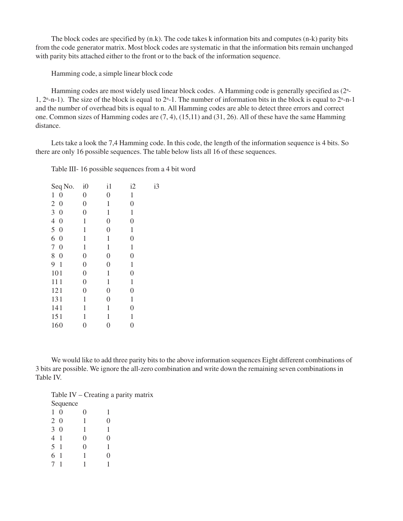The block codes are specified by (n.k). The code takes k information bits and computes (n-k) parity bits from the code generator matrix. Most block codes are systematic in that the information bits remain unchanged with parity bits attached either to the front or to the back of the information sequence.

Hamming code, a simple linear block code

Hamming codes are most widely used linear block codes. A Hamming code is generally specified as (2<sup>n</sup>-1,  $2<sup>n</sup>$ -n-1). The size of the block is equal to  $2<sup>n</sup>$ -1. The number of information bits in the block is equal to  $2<sup>n</sup>$ -n-1 and the number of overhead bits is equal to n. All Hamming codes are able to detect three errors and correct one. Common sizes of Hamming codes are (7, 4), (15,11) and (31, 26). All of these have the same Hamming distance.

Lets take a look the 7,4 Hamming code. In this code, the length of the information sequence is 4 bits. So there are only 16 possible sequences. The table below lists all 16 of these sequences.

Table III- 16 possible sequences from a 4 bit word

| i0               | $\frac{1}{1}$  | i2               | i3 |
|------------------|----------------|------------------|----|
| $\boldsymbol{0}$ | $\overline{0}$ | 1                |    |
| $\overline{0}$   | 1              | $\overline{0}$   |    |
| $\overline{0}$   | $\mathbf{1}$   | 1                |    |
| 1                | $\overline{0}$ | $\overline{0}$   |    |
| $\mathbf{1}$     | $\overline{0}$ | $\mathbf{1}$     |    |
| $\mathbf{1}$     | $\mathbf{1}$   | $\overline{0}$   |    |
| 1                | $\mathbf{1}$   | 1                |    |
| $\overline{0}$   | $\overline{0}$ | $\overline{0}$   |    |
| $\overline{0}$   | $\overline{0}$ | $\mathbf{1}$     |    |
| $\boldsymbol{0}$ | $\mathbf{1}$   | $\overline{0}$   |    |
| $\overline{0}$   | $\mathbf{1}$   | $\mathbf{1}$     |    |
| $\boldsymbol{0}$ | $\overline{0}$ | $\boldsymbol{0}$ |    |
| 1                | $\overline{0}$ | $\mathbf{1}$     |    |
| $\mathbf{1}$     | $\mathbf{1}$   | $\overline{0}$   |    |
| 1                | $\mathbf{1}$   | $\mathbf{1}$     |    |
| $\overline{0}$   | $\overline{0}$ | $\overline{0}$   |    |
|                  |                |                  |    |

We would like to add three parity bits to the above information sequences Eight different combinations of 3 bits are possible. We ignore the all-zero combination and write down the remaining seven combinations in Table IV.

Table IV – Creating a parity matrix Sequence 10 0 1 20 1 0 30 1 1 41 0 0 51 0 1 61 1 0

71 1 1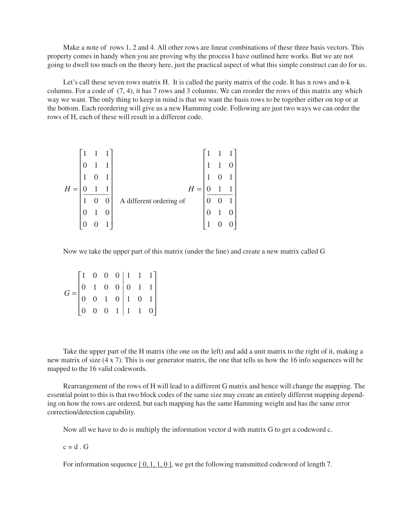Make a note of rows 1, 2 and 4. All other rows are linear combinations of these three basis vectors. This property comes in handy when you are proving why the process I have outlined here works. But we are not going to dwell too much on the theory here, just the practical aspect of what this simple construct can do for us.

Let's call these seven rows matrix H. It is called the parity matrix of the code. It has n rows and n-k columns. For a code of (7, 4), it has 7 rows and 3 columns. We can reorder the rows of this matrix any which way we want. The only thing to keep in mind is that we want the basis rows to be together either on top or at the bottom. Each reordering will give us a new Hamming code. Following are just two ways we can order the rows of H, each of these will result in a different code.

|       |  |                  |                         | $\mathbf{1}$ |  |  |
|-------|--|------------------|-------------------------|--------------|--|--|
| $H =$ |  |                  | $H =$                   |              |  |  |
|       |  | $\boldsymbol{0}$ | A different ordering of |              |  |  |
|       |  | $\overline{0}$   |                         |              |  |  |
|       |  |                  |                         |              |  |  |

Now we take the upper part of this matrix (under the line) and create a new matrix called G

| $G = \begin{bmatrix} 1 & 0 & 0 & 0 & 1 & 1 & 1 \\ 0 & 1 & 0 & 0 & 0 & 1 & 1 \\ 0 & 0 & 1 & 0 & 1 & 0 & 1 \\ 0 & 0 & 0 & 1 & 1 & 1 & 0 \end{bmatrix}$ |  |  |  |  |
|------------------------------------------------------------------------------------------------------------------------------------------------------|--|--|--|--|

Take the upper part of the H matrix (the one on the left) and add a unit matrix to the right of it, making a new matrix of size (4 x 7). This is our generator matrix, the one that tells us how the 16 info sequences will be mapped to the 16 valid codewords.

Rearrangement of the rows of H will lead to a different G matrix and hence will change the mapping. The essential point to this is that two block codes of the same size may create an entirely different mapping depending on how the rows are ordered, but each mapping has the same Hamming weight and has the same error correction/detection capability.

Now all we have to do is multiply the information vector d with matrix G to get a codeword c.

 $c = d$ . G

For information sequence  $[0, 1, 1, 0]$ , we get the following transmitted codeword of length 7.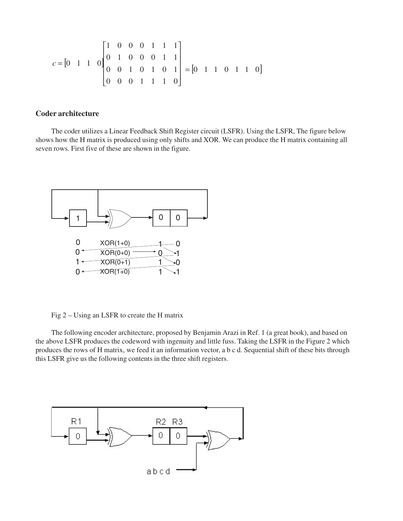$$
c = \begin{bmatrix} 0 & 1 & 1 & 0 \end{bmatrix} \begin{bmatrix} 1 & 0 & 0 & 0 & 1 & 1 & 1 \\ 0 & 1 & 0 & 0 & 0 & 1 & 1 \\ 0 & 0 & 1 & 0 & 1 & 0 & 1 \\ 0 & 0 & 0 & 1 & 1 & 1 & 0 \end{bmatrix} = \begin{bmatrix} 0 & 1 & 1 & 0 & 1 & 1 & 0 \end{bmatrix}
$$

## **Coder architecture**

The coder utilizes a Linear Feedback Shift Register circuit (LSFR). Using the LSFR, The figure below shows how the H matrix is produced using only shifts and XOR. We can produce the H matrix containing all seven rows. First five of these are shown in the figure.



Fig 2 – Using an LSFR to create the H matrix

The following encoder architecture, proposed by Benjamin Arazi in Ref. 1 (a great book), and based on the above LSFR produces the codeword with ingenuity and little fuss. Taking the LSFR in the Figure 2 which produces the rows of H matrix, we feed it an information vector, a b c d. Sequential shift of these bits through this LSFR give us the following contents in the three shift registers.

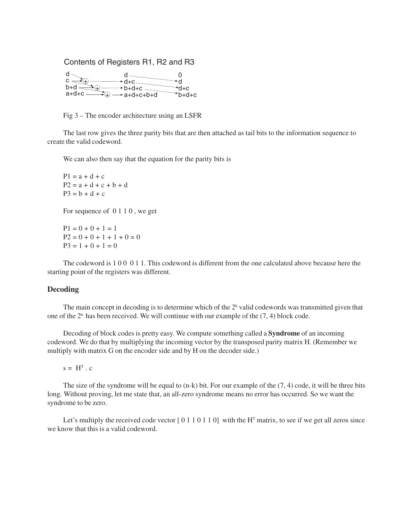

Fig 3 – The encoder architecture using an LSFR

The last row gives the three parity bits that are then attached as tail bits to the information sequence to create the valid codeword.

We can also then say that the equation for the parity bits is

 $P1 = a + d + c$  $P2 = a + d + c + b + d$  $P3 = b + d + c$ 

For sequence of 0 1 1 0 , we get

 $P1 = 0 + 0 + 1 = 1$  $P2 = 0 + 0 + 1 + 1 + 0 = 0$  $P3 = 1 + 0 + 1 = 0$ 

The codeword is 1 0 0 0 1 1. This codeword is different from the one calculated above because here the starting point of the registers was different.

## **Decoding**

The main concept in decoding is to determine which of the  $2<sup>k</sup>$  valid codewords was transmitted given that one of the  $2<sup>n</sup>$  has been received. We will continue with our example of the  $(7, 4)$  block code.

Decoding of block codes is pretty easy. We compute something called a **Syndrome** of an incoming codeword. We do that by multiplying the incoming vector by the transposed parity matrix H. (Remember we multiply with matrix G on the encoder side and by H on the decoder side.)

 $s = H<sup>T</sup>$ . c

The size of the syndrome will be equal to (n-k) bit. For our example of the (7, 4) code, it will be three bits long. Without proving, let me state that, an all-zero syndrome means no error has occurred. So we want the syndrome to be zero.

Let's multiply the received code vector  $[0 1 1 0 1 1 0]$  with the H<sup>T</sup> matrix, to see if we get all zeros since we know that this is a valid codeword.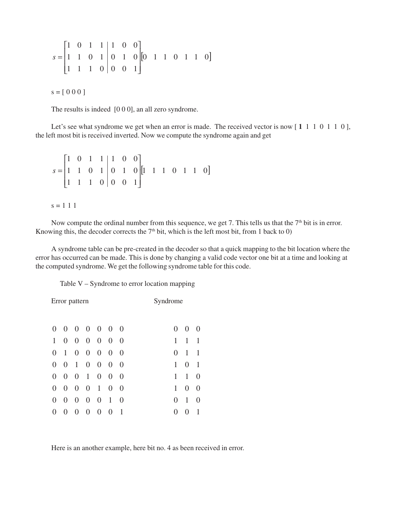$$
s = \begin{bmatrix} 1 & 0 & 1 & 1 & 1 & 0 & 0 \\ 1 & 1 & 0 & 1 & 0 & 1 & 0 \\ 1 & 1 & 1 & 0 & 0 & 0 & 1 \end{bmatrix} \begin{bmatrix} 0 & 1 & 1 & 0 & 1 & 1 & 0 \end{bmatrix}
$$

 $s = [ 0 0 0 ]$ 

The results is indeed [0 0 0], an all zero syndrome.

Let's see what syndrome we get when an error is made. The received vector is now [1 1 1 0 1 1 0], the left most bit is received inverted. Now we compute the syndrome again and get

 $[1 \ 1 \ 1 \ 0 \ 1 \ 1 \ 0]$  $1 \quad 1 \quad 1 \quad 0 \mid 0 \quad 0 \quad 1$ 1 1 0 1 0 1 0  $1 \t0 \t1 \t1 \t1 \t0 \t0$  $\overline{\phantom{a}}$  $\overline{\phantom{a}}$  $\overline{\phantom{a}}$ J  $\overline{\phantom{a}}$ L L L  $\mathsf L$ L  $s =$ 

 $s = 1 1 1$ 

Now compute the ordinal number from this sequence, we get 7. This tells us that the 7<sup>th</sup> bit is in error. Knowing this, the decoder corrects the  $7<sup>th</sup>$  bit, which is the left most bit, from 1 back to 0)

A syndrome table can be pre-created in the decoder so that a quick mapping to the bit location where the error has occurred can be made. This is done by changing a valid code vector one bit at a time and looking at the computed syndrome. We get the following syndrome table for this code.

Table V – Syndrome to error location mapping

|                |                  | Error pattern    |                |                  |                |                | Syndrome                  |
|----------------|------------------|------------------|----------------|------------------|----------------|----------------|---------------------------|
| $\overline{0}$ | $\boldsymbol{0}$ | $\overline{0}$   | $\overline{0}$ | $\overline{0}$   | $\overline{0}$ | $\overline{0}$ | $\theta$<br>O<br>$\theta$ |
| 1              | $\overline{0}$   | $\overline{0}$   | $\overline{0}$ | $\overline{0}$   | $\overline{0}$ | $\overline{0}$ | 1<br>1<br>1               |
| $\Omega$       | $\mathbf{1}$     | $\boldsymbol{0}$ | $\overline{0}$ | $\overline{0}$   | $\overline{0}$ | $\Omega$       | 1<br>1<br>$\Omega$        |
| $\overline{0}$ | $\overline{0}$   | $\mathbf{1}$     | $\overline{0}$ | $\overline{0}$   | $\overline{0}$ | $\overline{0}$ | 1<br>1<br>$\overline{0}$  |
| $\overline{0}$ | $\boldsymbol{0}$ | $\boldsymbol{0}$ | $\mathbf{1}$   | $\boldsymbol{0}$ | $\overline{0}$ | $\theta$       | 1<br>1<br>0               |
| $\overline{0}$ | $\overline{0}$   | $\overline{0}$   | $\overline{0}$ | $\mathbf{1}$     | $\overline{0}$ | $\overline{0}$ | 1<br>0<br>$\theta$        |
| $\Omega$       | 0                | 0                | 0              | $\overline{0}$   | 1              | $\Omega$       | 1<br>0<br>0               |
| $\overline{0}$ | 0                | $\overline{0}$   | $\overline{0}$ | $\overline{0}$   | $\overline{0}$ | 1              | 0<br>1<br>$\Omega$        |

Here is an another example, here bit no. 4 as been received in error.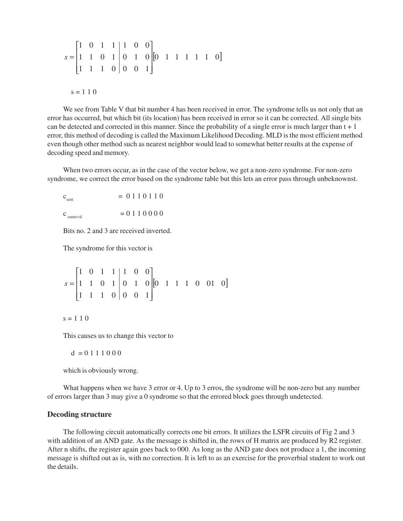$$
s = \begin{bmatrix} 1 & 0 & 1 & 1 & 1 & 0 & 0 \\ 1 & 1 & 0 & 1 & 0 & 1 & 0 \\ 1 & 1 & 1 & 0 & 0 & 0 & 1 \end{bmatrix} \begin{bmatrix} 0 & 1 & 1 & 1 & 1 & 1 & 0 \end{bmatrix}
$$
  
s = 110

We see from Table V that bit number 4 has been received in error. The syndrome tells us not only that an error has occurred, but which bit (its location) has been received in error so it can be corrected. All single bits can be detected and corrected in this manner. Since the probability of a single error is much larger than  $t + 1$ error, this method of decoding is called the Maximum Likelihood Decoding. MLD is the most efficient method even though other method such as nearest neighbor would lead to somewhat better results at the expense of decoding speed and memory.

When two errors occur, as in the case of the vector below, we get a non-zero syndrome. For non-zero syndrome, we correct the error based on the syndrome table but this lets an error pass through unbeknownst.

 $c_{\text{sent}}$  = 0 1 1 0 1 1 0

 $c_{\text{sentrevd}} = 0 1 1 0 0 0 0$ 

Bits no. 2 and 3 are received inverted.

The syndrome for this vector is

$$
s = \begin{bmatrix} 1 & 0 & 1 & 1 & 1 & 0 & 0 \\ 1 & 1 & 0 & 1 & 0 & 1 & 0 \\ 1 & 1 & 1 & 0 & 0 & 0 & 1 \end{bmatrix} \begin{bmatrix} 0 & 1 & 1 & 1 & 0 & 01 & 0 \end{bmatrix}
$$

 $s = 1 1 0$ 

This causes us to change this vector to

 $d = 0.111000$ 

which is obviously wrong.

What happens when we have 3 error or 4. Up to 3 erros, the syndrome will be non-zero but any number of errors larger than 3 may give a 0 syndrome so that the errored block goes through undetected.

## **Decoding structure**

The following circuit automatically corrects one bit errors. It utilizes the LSFR circuits of Fig 2 and 3 with addition of an AND gate. As the message is shifted in, the rows of H matrix are produced by R2 register. After n shifts, the register again goes back to 000. As long as the AND gate does not produce a 1, the incoming message is shifted out as is, with no correction. It is left to as an exercise for the proverbial student to work out the details.